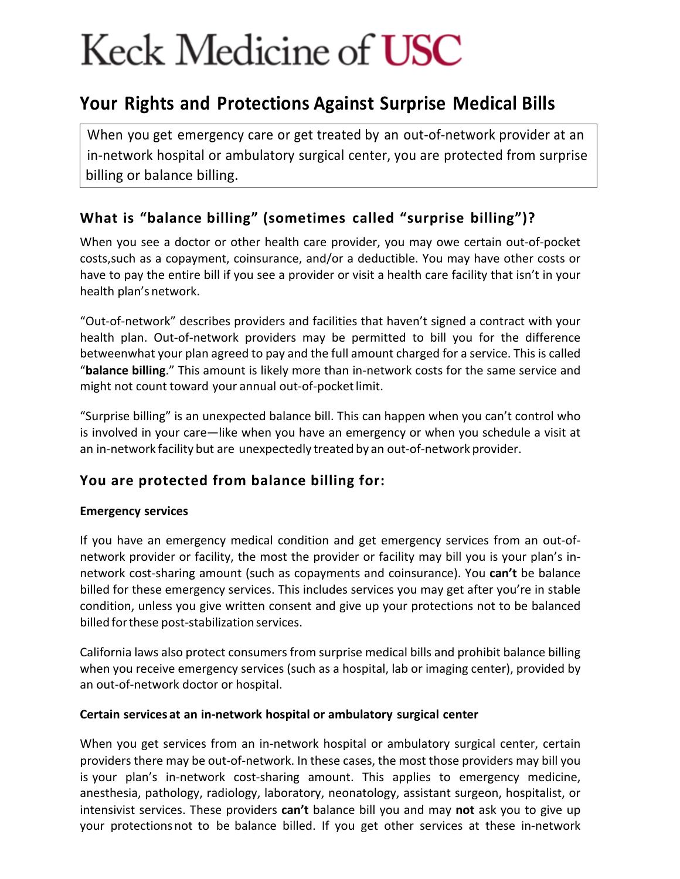# Keck Medicine of **USC**

## **Your Rights and Protections Against Surprise Medical Bills**

When you get emergency care or get treated by an out-of-network provider at an in-network hospital or ambulatory surgical center, you are protected from surprise billing or balance billing.

## **What is "balance billing" (sometimes called "surprise billing")?**

When you see a doctor or other health care provider, you may owe certain out-of-pocket costs,such as a copayment, coinsurance, and/or a deductible. You may have other costs or have to pay the entire bill if you see a provider or visit a health care facility that isn't in your health plan's network.

"Out-of-network" describes providers and facilities that haven't signed a contract with your health plan. Out-of-network providers may be permitted to bill you for the difference betweenwhat your plan agreed to pay and the full amount charged for a service. This is called "**balance billing**." This amount is likely more than in-network costs for the same service and might not count toward your annual out-of-pocketlimit.

"Surprise billing" is an unexpected balance bill. This can happen when you can't control who is involved in your care—like when you have an emergency or when you schedule a visit at an in-network facility but are unexpectedly treated by an out-of-network provider.

## **You are protected from balance billing for:**

#### **Emergency services**

If you have an emergency medical condition and get emergency services from an out-ofnetwork provider or facility, the most the provider or facility may bill you is your plan's innetwork cost-sharing amount (such as copayments and coinsurance). You **can't** be balance billed for these emergency services. This includes services you may get after you're in stable condition, unless you give written consent and give up your protections not to be balanced billed forthese post-stabilization services.

California laws also protect consumers from surprise medical bills and prohibit balance billing when you receive emergency services (such as a hospital, lab or imaging center), provided by an out-of-network doctor or hospital.

#### **Certain services at an in-network hospital or ambulatory surgical center**

When you get services from an in-network hospital or ambulatory surgical center, certain providers there may be out-of-network. In these cases, the most those providers may bill you is your plan's in-network cost-sharing amount. This applies to emergency medicine, anesthesia, pathology, radiology, laboratory, neonatology, assistant surgeon, hospitalist, or intensivist services. These providers **can't** balance bill you and may **not** ask you to give up your protectionsnot to be balance billed. If you get other services at these in-network